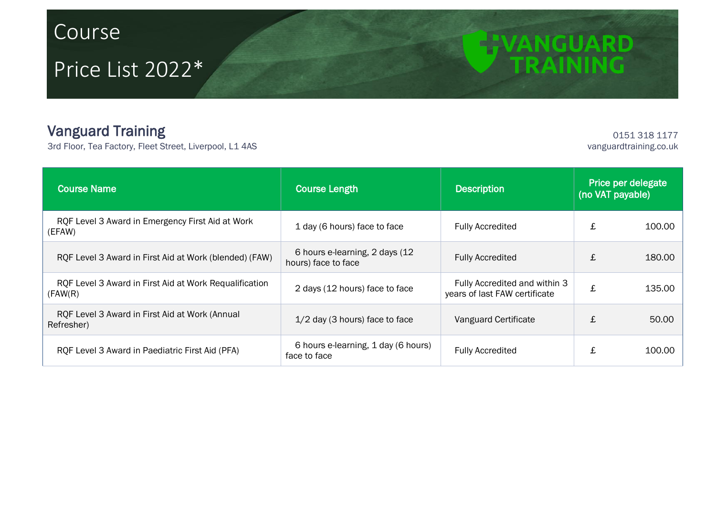## Course

## Price List 2022\*

## Vanguard Training

3rd Floor, Tea Factory, Fleet Street, Liverpool, L1 4AS

0151 318 1177<br>vanguardtraining.co.uk

**ETVANGUARD** 

| <b>Course Name</b>                                                 | <b>Course Length</b>                                   | Description                                                    | Price per delegate<br>(no VAT payable) |        |
|--------------------------------------------------------------------|--------------------------------------------------------|----------------------------------------------------------------|----------------------------------------|--------|
| RQF Level 3 Award in Emergency First Aid at Work<br>(EFAW)         | 1 day (6 hours) face to face                           | <b>Fully Accredited</b>                                        | £                                      | 100.00 |
| RQF Level 3 Award in First Aid at Work (blended) (FAW)             | 6 hours e-learning, 2 days (12)<br>hours) face to face | <b>Fully Accredited</b>                                        | £                                      | 180.00 |
| RQF Level 3 Award in First Aid at Work Requalification<br>(FAW(R)) | 2 days (12 hours) face to face                         | Fully Accredited and within 3<br>years of last FAW certificate | £                                      | 135.00 |
| RQF Level 3 Award in First Aid at Work (Annual<br>Refresher)       | $1/2$ day (3 hours) face to face                       | Vanguard Certificate                                           | £                                      | 50.00  |
| RQF Level 3 Award in Paediatric First Aid (PFA)                    | 6 hours e-learning, 1 day (6 hours)<br>face to face    | <b>Fully Accredited</b>                                        | £                                      | 100.00 |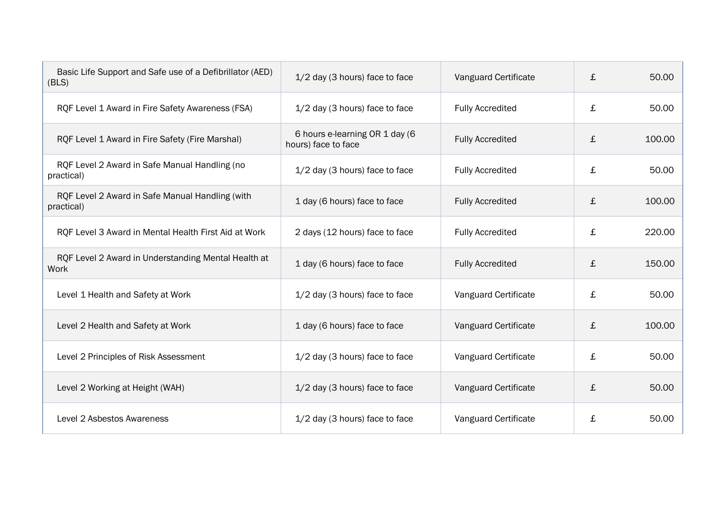| Basic Life Support and Safe use of a Defibrillator (AED)<br>(BLS) | $1/2$ day (3 hours) face to face                      | Vanguard Certificate    | £ | 50.00  |
|-------------------------------------------------------------------|-------------------------------------------------------|-------------------------|---|--------|
| RQF Level 1 Award in Fire Safety Awareness (FSA)                  | 1/2 day (3 hours) face to face                        | <b>Fully Accredited</b> | £ | 50.00  |
| RQF Level 1 Award in Fire Safety (Fire Marshal)                   | 6 hours e-learning OR 1 day (6<br>hours) face to face | <b>Fully Accredited</b> | £ | 100.00 |
| RQF Level 2 Award in Safe Manual Handling (no<br>practical)       | $1/2$ day (3 hours) face to face                      | <b>Fully Accredited</b> | £ | 50.00  |
| RQF Level 2 Award in Safe Manual Handling (with<br>practical)     | 1 day (6 hours) face to face                          | <b>Fully Accredited</b> | £ | 100.00 |
| RQF Level 3 Award in Mental Health First Aid at Work              | 2 days (12 hours) face to face                        | <b>Fully Accredited</b> | £ | 220.00 |
| RQF Level 2 Award in Understanding Mental Health at<br>Work       | 1 day (6 hours) face to face                          | <b>Fully Accredited</b> | £ | 150.00 |
| Level 1 Health and Safety at Work                                 | 1/2 day (3 hours) face to face                        | Vanguard Certificate    | £ | 50.00  |
| Level 2 Health and Safety at Work                                 | 1 day (6 hours) face to face                          | Vanguard Certificate    | £ | 100.00 |
| Level 2 Principles of Risk Assessment                             | $1/2$ day (3 hours) face to face                      | Vanguard Certificate    | £ | 50.00  |
| Level 2 Working at Height (WAH)                                   | 1/2 day (3 hours) face to face                        | Vanguard Certificate    | £ | 50.00  |
| Level 2 Asbestos Awareness                                        | $1/2$ day (3 hours) face to face                      | Vanguard Certificate    | £ | 50.00  |